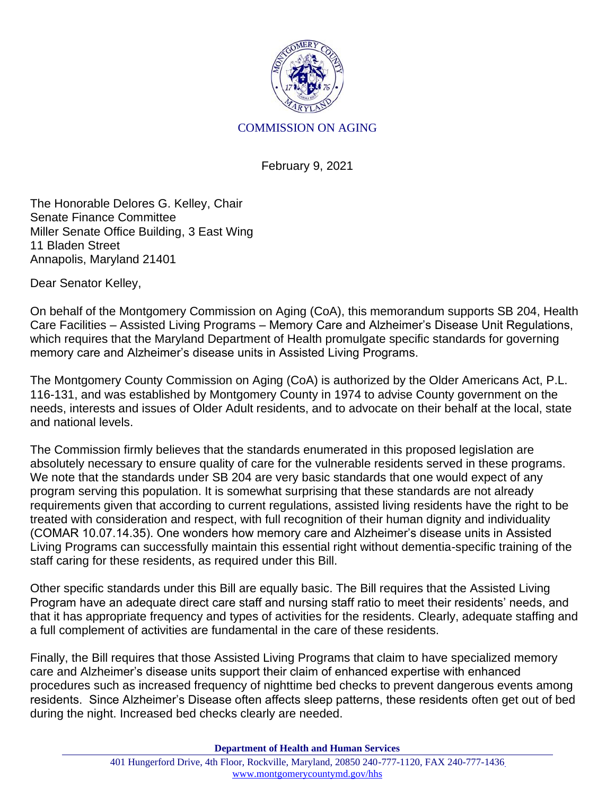

## COMMISSION ON AGING

February 9, 2021

The Honorable Delores G. Kelley, Chair Senate Finance Committee Miller Senate Office Building, 3 East Wing 11 Bladen Street Annapolis, Maryland 21401

Dear Senator Kelley,

On behalf of the Montgomery Commission on Aging (CoA), this memorandum supports SB 204, Health Care Facilities – Assisted Living Programs – Memory Care and Alzheimer's Disease Unit Regulations, which requires that the Maryland Department of Health promulgate specific standards for governing memory care and Alzheimer's disease units in Assisted Living Programs.

The Montgomery County Commission on Aging (CoA) is authorized by the Older Americans Act, P.L. 116-131, and was established by Montgomery County in 1974 to advise County government on the needs, interests and issues of Older Adult residents, and to advocate on their behalf at the local, state and national levels.

The Commission firmly believes that the standards enumerated in this proposed legislation are absolutely necessary to ensure quality of care for the vulnerable residents served in these programs. We note that the standards under SB 204 are very basic standards that one would expect of any program serving this population. It is somewhat surprising that these standards are not already requirements given that according to current regulations, assisted living residents have the right to be treated with consideration and respect, with full recognition of their human dignity and individuality (COMAR 10.07.14.35). One wonders how memory care and Alzheimer's disease units in Assisted Living Programs can successfully maintain this essential right without dementia-specific training of the staff caring for these residents, as required under this Bill.

Other specific standards under this Bill are equally basic. The Bill requires that the Assisted Living Program have an adequate direct care staff and nursing staff ratio to meet their residents' needs, and that it has appropriate frequency and types of activities for the residents. Clearly, adequate staffing and a full complement of activities are fundamental in the care of these residents.

Finally, the Bill requires that those Assisted Living Programs that claim to have specialized memory care and Alzheimer's disease units support their claim of enhanced expertise with enhanced procedures such as increased frequency of nighttime bed checks to prevent dangerous events among residents. Since Alzheimer's Disease often affects sleep patterns, these residents often get out of bed during the night. Increased bed checks clearly are needed.

**Department of Health and Human Services**